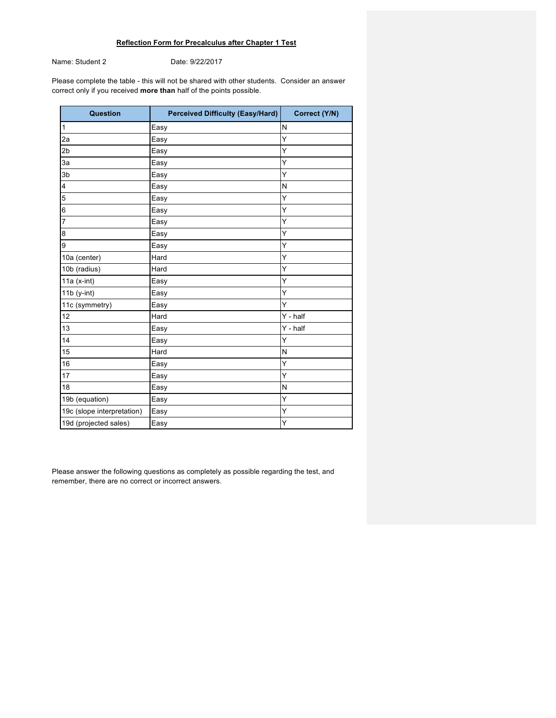## **Reflection Form for Precalculus after Chapter 1 Test**

Name: Student 2 Date: 9/22/2017

Please complete the table - this will not be shared with other students. Consider an answer correct only if you received **more than** half of the points possible.

| Question                   | <b>Perceived Difficulty (Easy/Hard)</b> | Correct (Y/N) |
|----------------------------|-----------------------------------------|---------------|
| 1                          | Easy                                    | N             |
| 2a                         | Easy                                    | Y             |
| 2 <sub>b</sub>             | Easy                                    | Υ             |
| 3a                         | Easy                                    | Ý             |
| 3b                         | Easy                                    | Y             |
| 4                          | Easy                                    | N             |
| 5                          | Easy                                    | Y             |
| 6                          | Easy                                    | Y             |
| $\overline{7}$             | Easy                                    | Ý             |
| 8                          | Easy                                    | Υ             |
| 9                          | Easy                                    | Y             |
| 10a (center)               | Hard                                    | Ý             |
| 10b (radius)               | Hard                                    | Y             |
| $11a$ (x-int)              | Easy                                    | Υ             |
| $11b$ (y-int)              | Easy                                    | Y             |
| 11c (symmetry)             | Easy                                    | Y             |
| 12                         | Hard                                    | $Y - half$    |
| 13                         | Easy                                    | Y - half      |
| 14                         | Easy                                    | Y             |
| 15                         | Hard                                    | N             |
| 16                         | Easy                                    | Υ             |
| 17                         | Easy                                    | Y             |
| 18                         | Easy                                    | N             |
| 19b (equation)             | Easy                                    | Ý             |
| 19c (slope interpretation) | Easy                                    | Υ             |
| 19d (projected sales)      | Easy                                    | Ý             |

Please answer the following questions as completely as possible regarding the test, and remember, there are no correct or incorrect answers.